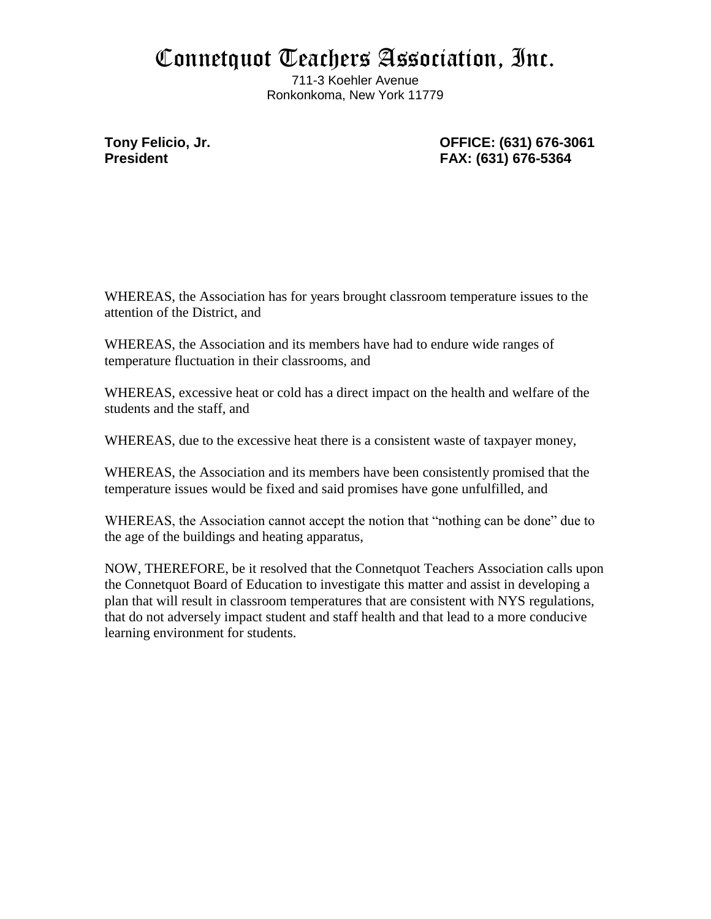## Connetquot Teachers Association, Inc.

711-3 Koehler Avenue Ronkonkoma, New York 11779

**Tony Felicio, Jr. OFFICE: (631) 676-3061 President FAX: (631) 676-5364**

WHEREAS, the Association has for years brought classroom temperature issues to the attention of the District, and

WHEREAS, the Association and its members have had to endure wide ranges of temperature fluctuation in their classrooms, and

WHEREAS, excessive heat or cold has a direct impact on the health and welfare of the students and the staff, and

WHEREAS, due to the excessive heat there is a consistent waste of taxpayer money,

WHEREAS, the Association and its members have been consistently promised that the temperature issues would be fixed and said promises have gone unfulfilled, and

WHEREAS, the Association cannot accept the notion that "nothing can be done" due to the age of the buildings and heating apparatus,

NOW, THEREFORE, be it resolved that the Connetquot Teachers Association calls upon the Connetquot Board of Education to investigate this matter and assist in developing a plan that will result in classroom temperatures that are consistent with NYS regulations, that do not adversely impact student and staff health and that lead to a more conducive learning environment for students.